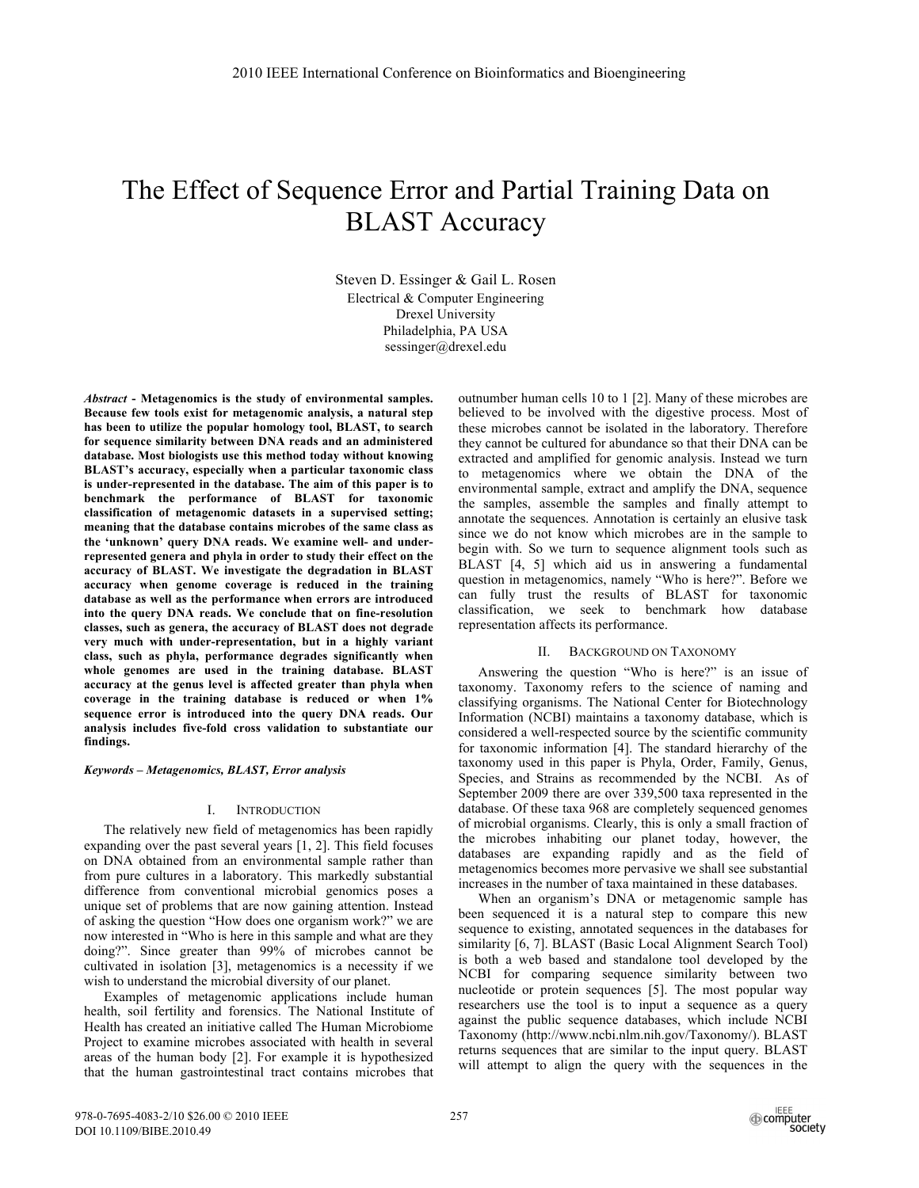# The Effect of Sequence Error and Partial Training Data on BLAST Accuracy

Steven D. Essinger & Gail L. Rosen Electrical & Computer Engineering Drexel University Philadelphia, PA USA sessinger@drexel.edu

*Abstract* **- Metagenomics is the study of environmental samples. Because few tools exist for metagenomic analysis, a natural step has been to utilize the popular homology tool, BLAST, to search for sequence similarity between DNA reads and an administered database. Most biologists use this method today without knowing BLAST's accuracy, especially when a particular taxonomic class is under-represented in the database. The aim of this paper is to benchmark the performance of BLAST for taxonomic classification of metagenomic datasets in a supervised setting; meaning that the database contains microbes of the same class as the 'unknown' query DNA reads. We examine well- and underrepresented genera and phyla in order to study their effect on the accuracy of BLAST. We investigate the degradation in BLAST accuracy when genome coverage is reduced in the training database as well as the performance when errors are introduced into the query DNA reads. We conclude that on fine-resolution classes, such as genera, the accuracy of BLAST does not degrade very much with under-representation, but in a highly variant class, such as phyla, performance degrades significantly when whole genomes are used in the training database. BLAST accuracy at the genus level is affected greater than phyla when coverage in the training database is reduced or when 1% sequence error is introduced into the query DNA reads. Our analysis includes five-fold cross validation to substantiate our findings.**

*Keywords – Metagenomics, BLAST, Error analysis*

## I. INTRODUCTION

The relatively new field of metagenomics has been rapidly expanding over the past several years [1, 2]. This field focuses on DNA obtained from an environmental sample rather than from pure cultures in a laboratory. This markedly substantial difference from conventional microbial genomics poses a unique set of problems that are now gaining attention. Instead of asking the question "How does one organism work?" we are now interested in "Who is here in this sample and what are they doing?". Since greater than 99% of microbes cannot be cultivated in isolation [3], metagenomics is a necessity if we wish to understand the microbial diversity of our planet.

Examples of metagenomic applications include human health, soil fertility and forensics. The National Institute of Health has created an initiative called The Human Microbiome Project to examine microbes associated with health in several areas of the human body [2]. For example it is hypothesized that the human gastrointestinal tract contains microbes that

outnumber human cells 10 to 1 [2]. Many of these microbes are believed to be involved with the digestive process. Most of these microbes cannot be isolated in the laboratory. Therefore they cannot be cultured for abundance so that their DNA can be extracted and amplified for genomic analysis. Instead we turn to metagenomics where we obtain the DNA of the environmental sample, extract and amplify the DNA, sequence the samples, assemble the samples and finally attempt to annotate the sequences. Annotation is certainly an elusive task since we do not know which microbes are in the sample to begin with. So we turn to sequence alignment tools such as BLAST [4, 5] which aid us in answering a fundamental question in metagenomics, namely "Who is here?". Before we can fully trust the results of BLAST for taxonomic classification, we seek to benchmark how database representation affects its performance.

## II. BACKGROUND ON TAXONOMY

Answering the question "Who is here?" is an issue of taxonomy. Taxonomy refers to the science of naming and classifying organisms. The National Center for Biotechnology Information (NCBI) maintains a taxonomy database, which is considered a well-respected source by the scientific community for taxonomic information [4]. The standard hierarchy of the taxonomy used in this paper is Phyla, Order, Family, Genus, Species, and Strains as recommended by the NCBI. As of September 2009 there are over 339,500 taxa represented in the database. Of these taxa 968 are completely sequenced genomes of microbial organisms. Clearly, this is only a small fraction of the microbes inhabiting our planet today, however, the databases are expanding rapidly and as the field of metagenomics becomes more pervasive we shall see substantial increases in the number of taxa maintained in these databases.

When an organism's DNA or metagenomic sample has been sequenced it is a natural step to compare this new sequence to existing, annotated sequences in the databases for similarity [6, 7]. BLAST (Basic Local Alignment Search Tool) is both a web based and standalone tool developed by the NCBI for comparing sequence similarity between two nucleotide or protein sequences [5]. The most popular way researchers use the tool is to input a sequence as a query against the public sequence databases, which include NCBI Taxonomy (http://www.ncbi.nlm.nih.gov/Taxonomy/). BLAST returns sequences that are similar to the input query. BLAST will attempt to align the query with the sequences in the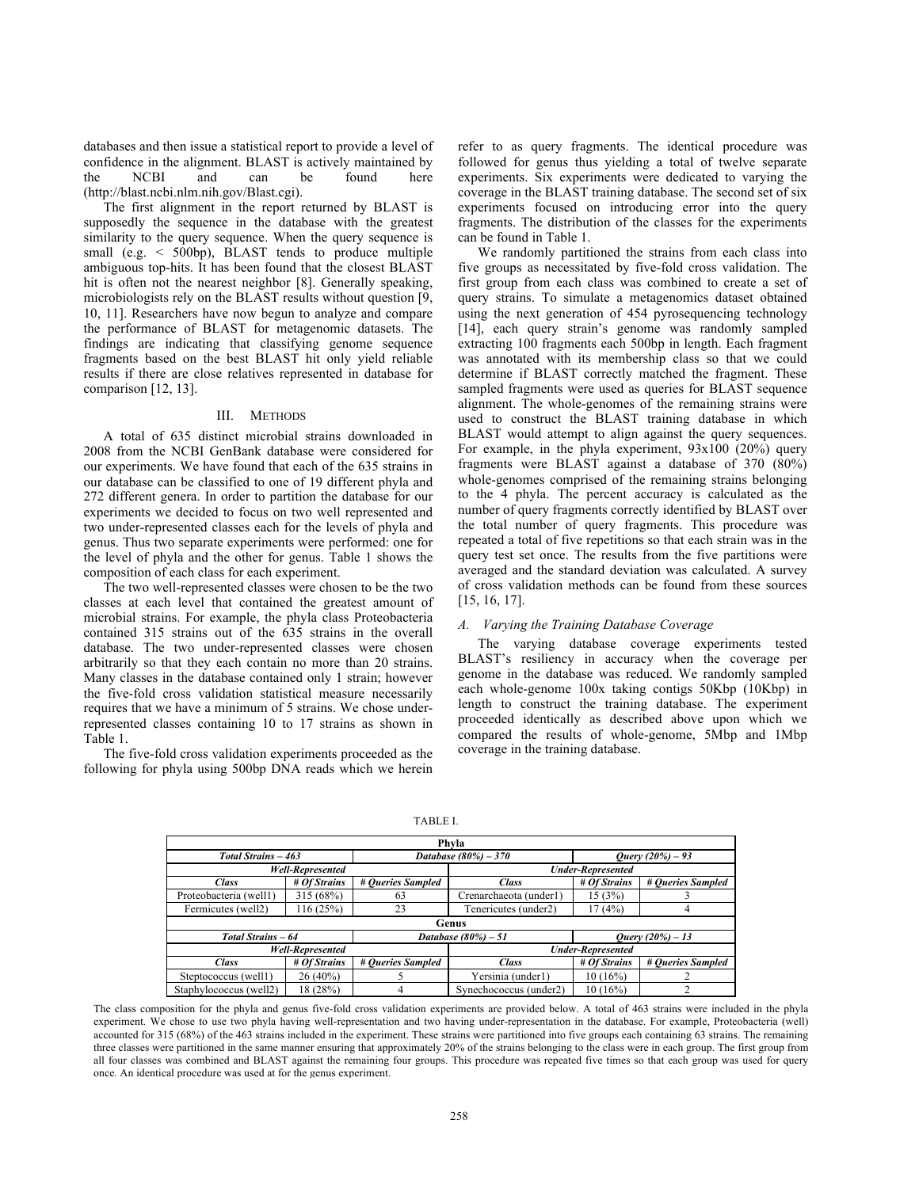databases and then issue a statistical report to provide a level of confidence in the alignment. BLAST is actively maintained by the NCBI and can be found here (http://blast.ncbi.nlm.nih.gov/Blast.cgi).

The first alignment in the report returned by BLAST is supposedly the sequence in the database with the greatest similarity to the query sequence. When the query sequence is small (e.g. < 500bp), BLAST tends to produce multiple ambiguous top-hits. It has been found that the closest BLAST hit is often not the nearest neighbor [8]. Generally speaking, microbiologists rely on the BLAST results without question [9, 10, 11]. Researchers have now begun to analyze and compare the performance of BLAST for metagenomic datasets. The findings are indicating that classifying genome sequence fragments based on the best BLAST hit only yield reliable results if there are close relatives represented in database for comparison [12, 13].

#### III. METHODS

A total of 635 distinct microbial strains downloaded in 2008 from the NCBI GenBank database were considered for our experiments. We have found that each of the 635 strains in our database can be classified to one of 19 different phyla and 272 different genera. In order to partition the database for our experiments we decided to focus on two well represented and two under-represented classes each for the levels of phyla and genus. Thus two separate experiments were performed: one for the level of phyla and the other for genus. Table 1 shows the composition of each class for each experiment.

The two well-represented classes were chosen to be the two classes at each level that contained the greatest amount of microbial strains. For example, the phyla class Proteobacteria contained 315 strains out of the 635 strains in the overall database. The two under-represented classes were chosen arbitrarily so that they each contain no more than 20 strains. Many classes in the database contained only 1 strain; however the five-fold cross validation statistical measure necessarily requires that we have a minimum of 5 strains. We chose underrepresented classes containing 10 to 17 strains as shown in Table 1.

The five-fold cross validation experiments proceeded as the following for phyla using 500bp DNA reads which we herein refer to as query fragments. The identical procedure was followed for genus thus yielding a total of twelve separate experiments. Six experiments were dedicated to varying the coverage in the BLAST training database. The second set of six experiments focused on introducing error into the query fragments. The distribution of the classes for the experiments can be found in Table 1.

We randomly partitioned the strains from each class into five groups as necessitated by five-fold cross validation. The first group from each class was combined to create a set of query strains. To simulate a metagenomics dataset obtained using the next generation of 454 pyrosequencing technology [14], each query strain's genome was randomly sampled extracting 100 fragments each 500bp in length. Each fragment was annotated with its membership class so that we could determine if BLAST correctly matched the fragment. These sampled fragments were used as queries for BLAST sequence alignment. The whole-genomes of the remaining strains were used to construct the BLAST training database in which BLAST would attempt to align against the query sequences. For example, in the phyla experiment,  $93x100$  (20%) query fragments were BLAST against a database of 370 (80%) whole-genomes comprised of the remaining strains belonging to the 4 phyla. The percent accuracy is calculated as the number of query fragments correctly identified by BLAST over the total number of query fragments. This procedure was repeated a total of five repetitions so that each strain was in the query test set once. The results from the five partitions were averaged and the standard deviation was calculated. A survey of cross validation methods can be found from these sources [15, 16, 17].

## *A. Varying the Training Database Coverage*

The varying database coverage experiments tested BLAST's resiliency in accuracy when the coverage per genome in the database was reduced. We randomly sampled each whole-genome 100x taking contigs 50Kbp (10Kbp) in length to construct the training database. The experiment proceeded identically as described above upon which we compared the results of whole-genome, 5Mbp and 1Mbp coverage in the training database.

| Phyla                                                                               |                                                                                   |                              |                   |                          |                   |  |  |  |
|-------------------------------------------------------------------------------------|-----------------------------------------------------------------------------------|------------------------------|-------------------|--------------------------|-------------------|--|--|--|
| <b>Total Strains - 463</b><br>Database $(80\%) - 370$<br><i>Query</i> $(20\%) - 93$ |                                                                                   |                              |                   |                          |                   |  |  |  |
|                                                                                     | <b>Well-Represented</b>                                                           |                              |                   | <b>Under-Represented</b> |                   |  |  |  |
| <b>Class</b>                                                                        | $#$ Of Strains                                                                    | # Queries Sampled            | <b>Class</b>      | # Of Strains             | # Queries Sampled |  |  |  |
| Proteobacteria (well1)                                                              | 315 (68%)                                                                         | Crenarchaeota (under1)<br>63 |                   | 15(3%)                   |                   |  |  |  |
| Fermicutes (well2)                                                                  | 116 (25%)                                                                         | 23<br>Tenericutes (under2)   |                   | 17(4%)                   | 4                 |  |  |  |
|                                                                                     |                                                                                   |                              | Genus             |                          |                   |  |  |  |
|                                                                                     | <b>Total Strains - 64</b><br>Database $(80\%) - 51$<br><i>Query</i> $(20\%) - 13$ |                              |                   |                          |                   |  |  |  |
|                                                                                     | <b>Well-Represented</b><br><b>Under-Represented</b>                               |                              |                   |                          |                   |  |  |  |
| <b>Class</b>                                                                        | # Of Strains                                                                      | # Oueries Sampled            | <b>Class</b>      | # Of Strains             | # Queries Sampled |  |  |  |
| Steptococcus (well1)                                                                | $26(40\%)$                                                                        |                              | Yersinia (under1) | 10(16%)                  |                   |  |  |  |
| Staphylococcus (well2)                                                              | 18 (28%)                                                                          | Synechococcus (under2)       |                   | 10(16%)                  |                   |  |  |  |

TABLE I.

The class composition for the phyla and genus five-fold cross validation experiments are provided below. A total of 463 strains were included in the phyla experiment. We chose to use two phyla having well-representation and two having under-representation in the database. For example, Proteobacteria (well) accounted for 315 (68%) of the 463 strains included in the experiment. These strains were partitioned into five groups each containing 63 strains. The remaining three classes were partitioned in the same manner ensuring that approximately 20% of the strains belonging to the class were in each group. The first group from all four classes was combined and BLAST against the remaining four groups. This procedure was repeated five times so that each group was used for query once. An identical procedure was used at for the genus experiment.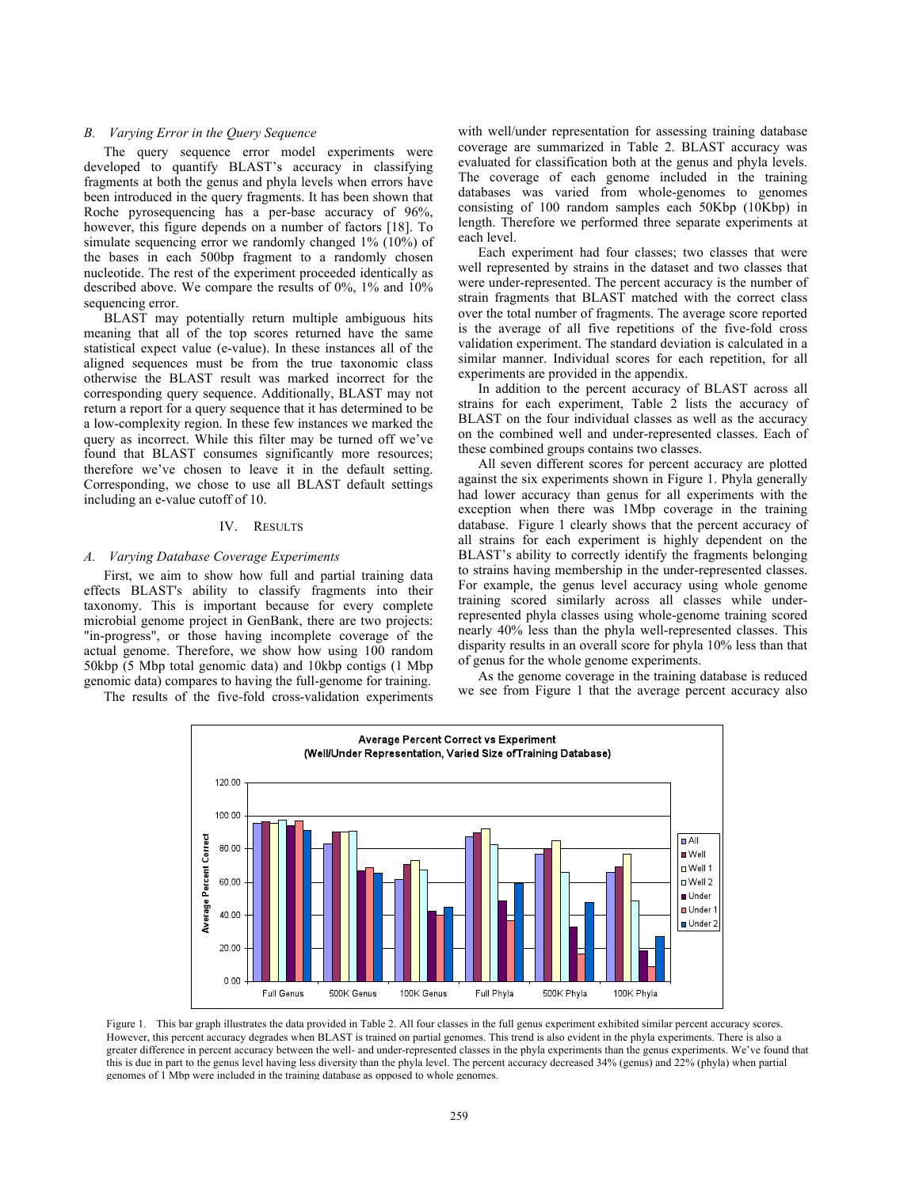## *B. Varying Error in the Query Sequence*

The query sequence error model experiments were developed to quantify BLAST's accuracy in classifying fragments at both the genus and phyla levels when errors have been introduced in the query fragments. It has been shown that Roche pyrosequencing has a per-base accuracy of 96%, however, this figure depends on a number of factors [18]. To simulate sequencing error we randomly changed 1% (10%) of the bases in each 500bp fragment to a randomly chosen nucleotide. The rest of the experiment proceeded identically as described above. We compare the results of 0%, 1% and 10% sequencing error.

BLAST may potentially return multiple ambiguous hits meaning that all of the top scores returned have the same statistical expect value (e-value). In these instances all of the aligned sequences must be from the true taxonomic class otherwise the BLAST result was marked incorrect for the corresponding query sequence. Additionally, BLAST may not return a report for a query sequence that it has determined to be a low-complexity region. In these few instances we marked the query as incorrect. While this filter may be turned off we've found that BLAST consumes significantly more resources; therefore we've chosen to leave it in the default setting. Corresponding, we chose to use all BLAST default settings including an e-value cutoff of 10.

## IV. RESULTS

#### *A. Varying Database Coverage Experiments*

First, we aim to show how full and partial training data effects BLAST's ability to classify fragments into their taxonomy. This is important because for every complete microbial genome project in GenBank, there are two projects: "in-progress", or those having incomplete coverage of the actual genome. Therefore, we show how using 100 random 50kbp (5 Mbp total genomic data) and 10kbp contigs (1 Mbp genomic data) compares to having the full-genome for training.

The results of the five-fold cross-validation experiments

with well/under representation for assessing training database coverage are summarized in Table 2. BLAST accuracy was evaluated for classification both at the genus and phyla levels. The coverage of each genome included in the training databases was varied from whole-genomes to genomes consisting of 100 random samples each 50Kbp (10Kbp) in length. Therefore we performed three separate experiments at each level.

Each experiment had four classes; two classes that were well represented by strains in the dataset and two classes that were under-represented. The percent accuracy is the number of strain fragments that BLAST matched with the correct class over the total number of fragments. The average score reported is the average of all five repetitions of the five-fold cross validation experiment. The standard deviation is calculated in a similar manner. Individual scores for each repetition, for all experiments are provided in the appendix.

In addition to the percent accuracy of BLAST across all strains for each experiment, Table 2 lists the accuracy of BLAST on the four individual classes as well as the accuracy on the combined well and under-represented classes. Each of these combined groups contains two classes.

All seven different scores for percent accuracy are plotted against the six experiments shown in Figure 1. Phyla generally had lower accuracy than genus for all experiments with the exception when there was 1Mbp coverage in the training database. Figure 1 clearly shows that the percent accuracy of all strains for each experiment is highly dependent on the BLAST's ability to correctly identify the fragments belonging to strains having membership in the under-represented classes. For example, the genus level accuracy using whole genome training scored similarly across all classes while underrepresented phyla classes using whole-genome training scored nearly 40% less than the phyla well-represented classes. This disparity results in an overall score for phyla 10% less than that of genus for the whole genome experiments.

As the genome coverage in the training database is reduced we see from Figure 1 that the average percent accuracy also



Figure 1. This bar graph illustrates the data provided in Table 2. All four classes in the full genus experiment exhibited similar percent accuracy scores. However, this percent accuracy degrades when BLAST is trained on partial genomes. This trend is also evident in the phyla experiments. There is also a greater difference in percent accuracy between the well- and under-represented classes in the phyla experiments than the genus experiments. We've found that this is due in part to the genus level having less diversity than the phyla level. The percent accuracy decreased 34% (genus) and 22% (phyla) when partial genomes of 1 Mbp were included in the training database as opposed to whole genomes.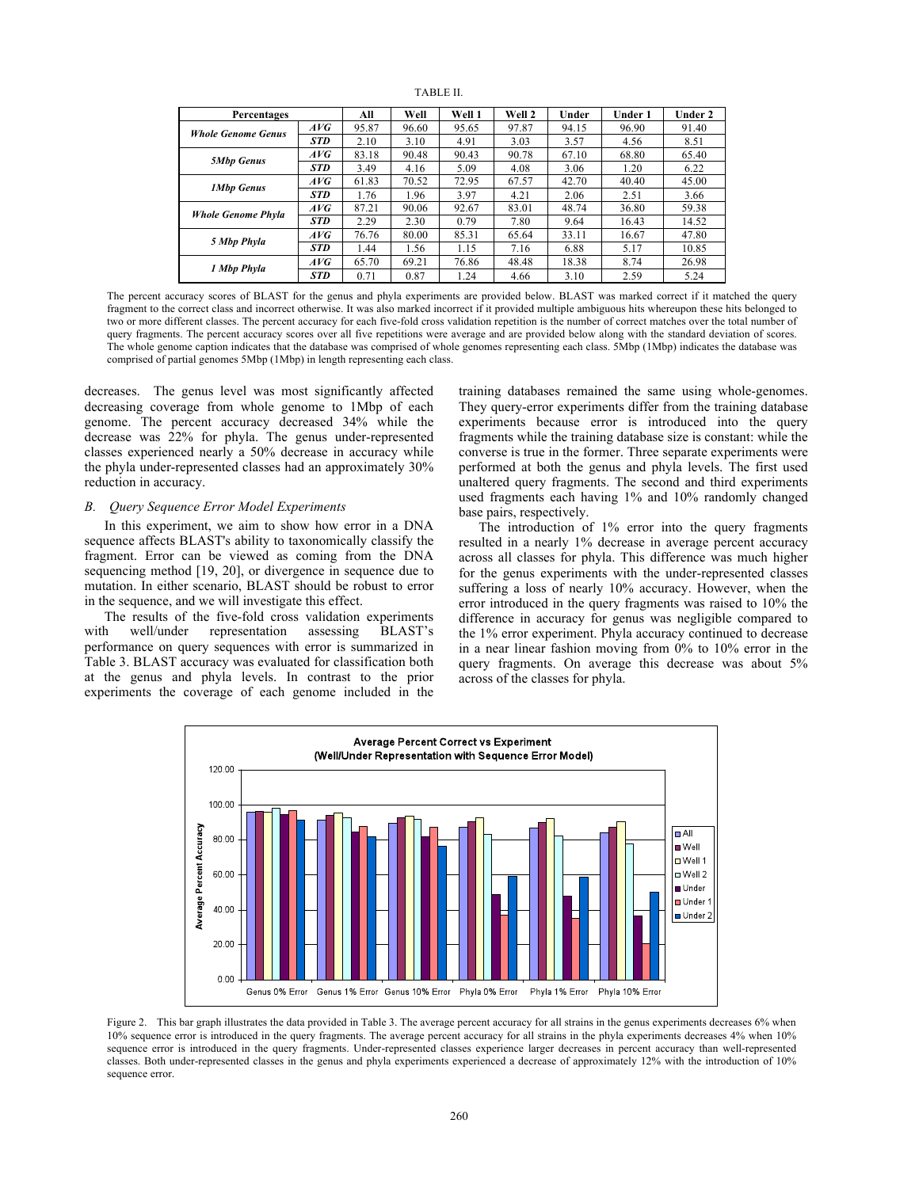TABLE II.

| Percentages               |            | All   | Well  | Well 1      | Well 2 | Under | Under 1 | Under 2 |
|---------------------------|------------|-------|-------|-------------|--------|-------|---------|---------|
| <b>Whole Genome Genus</b> | AVG        | 95.87 | 96.60 | 95.65       | 97.87  | 94.15 | 96.90   | 91.40   |
|                           | <b>STD</b> | 2.10  | 3.10  | 4.91        | 3.03   | 3.57  | 4.56    | 8.51    |
| <b>5Mbp Genus</b>         | AVG        | 83.18 | 90.48 | 90.43       | 90.78  | 67.10 | 68.80   | 65.40   |
|                           | STD        | 3.49  | 4.16  | 5.09        | 4.08   | 3.06  | 1.20    | 6.22    |
| <b>1Mbp Genus</b>         | AVG        | 61.83 | 70.52 | 72.95       | 67.57  | 42.70 | 40.40   | 45.00   |
|                           | <b>STD</b> | 1.76  | 1.96  | 3.97        | 4.21   | 2.06  | 2.51    | 3.66    |
| <b>Whole Genome Phyla</b> | AVG        | 87.21 | 90.06 | 92.67       | 83.01  | 48.74 | 36.80   | 59.38   |
|                           | <b>STD</b> | 2.29  | 2.30  | 0.79        | 7.80   | 9.64  | 16.43   | 14.52   |
| 5 Mbp Phyla               | AVG        | 76.76 | 80.00 | 85.31       | 65.64  | 33.11 | 16.67   | 47.80   |
|                           | STD        | 1.44  | 1.56  | 1.15        | 7.16   | 6.88  | 5.17    | 10.85   |
|                           | AVG        | 65.70 | 69.21 | 76.86       | 48.48  | 18.38 | 8.74    | 26.98   |
| 1 Mbp Phyla               | <b>STD</b> | 0.71  | 0.87  | $\sqrt{24}$ | 4.66   | 3.10  | 2.59    | 5.24    |

The percent accuracy scores of BLAST for the genus and phyla experiments are provided below. BLAST was marked correct if it matched the query fragment to the correct class and incorrect otherwise. It was also marked incorrect if it provided multiple ambiguous hits whereupon these hits belonged to two or more different classes. The percent accuracy for each five-fold cross validation repetition is the number of correct matches over the total number of query fragments. The percent accuracy scores over all five repetitions were average and are provided below along with the standard deviation of scores. The whole genome caption indicates that the database was comprised of whole genomes representing each class. 5Mbp (1Mbp) indicates the database was comprised of partial genomes 5Mbp (1Mbp) in length representing each class.

decreases. The genus level was most significantly affected decreasing coverage from whole genome to 1Mbp of each genome. The percent accuracy decreased 34% while the decrease was 22% for phyla. The genus under-represented classes experienced nearly a 50% decrease in accuracy while the phyla under-represented classes had an approximately 30% reduction in accuracy.

## *B. Query Sequence Error Model Experiments*

In this experiment, we aim to show how error in a DNA sequence affects BLAST's ability to taxonomically classify the fragment. Error can be viewed as coming from the DNA sequencing method [19, 20], or divergence in sequence due to mutation. In either scenario, BLAST should be robust to error in the sequence, and we will investigate this effect.

The results of the five-fold cross validation experiments with well/under representation assessing BLAST's performance on query sequences with error is summarized in Table 3. BLAST accuracy was evaluated for classification both at the genus and phyla levels. In contrast to the prior experiments the coverage of each genome included in the training databases remained the same using whole-genomes. They query-error experiments differ from the training database experiments because error is introduced into the query fragments while the training database size is constant: while the converse is true in the former. Three separate experiments were performed at both the genus and phyla levels. The first used unaltered query fragments. The second and third experiments used fragments each having 1% and 10% randomly changed base pairs, respectively.

The introduction of 1% error into the query fragments resulted in a nearly 1% decrease in average percent accuracy across all classes for phyla. This difference was much higher for the genus experiments with the under-represented classes suffering a loss of nearly 10% accuracy. However, when the error introduced in the query fragments was raised to 10% the difference in accuracy for genus was negligible compared to the 1% error experiment. Phyla accuracy continued to decrease in a near linear fashion moving from 0% to 10% error in the query fragments. On average this decrease was about 5% across of the classes for phyla.



Figure 2. This bar graph illustrates the data provided in Table 3. The average percent accuracy for all strains in the genus experiments decreases 6% when 10% sequence error is introduced in the query fragments. The average percent accuracy for all strains in the phyla experiments decreases 4% when 10% sequence error is introduced in the query fragments. Under-represented classes experience larger decreases in percent accuracy than well-represented classes. Both under-represented classes in the genus and phyla experiments experienced a decrease of approximately 12% with the introduction of 10% sequence error.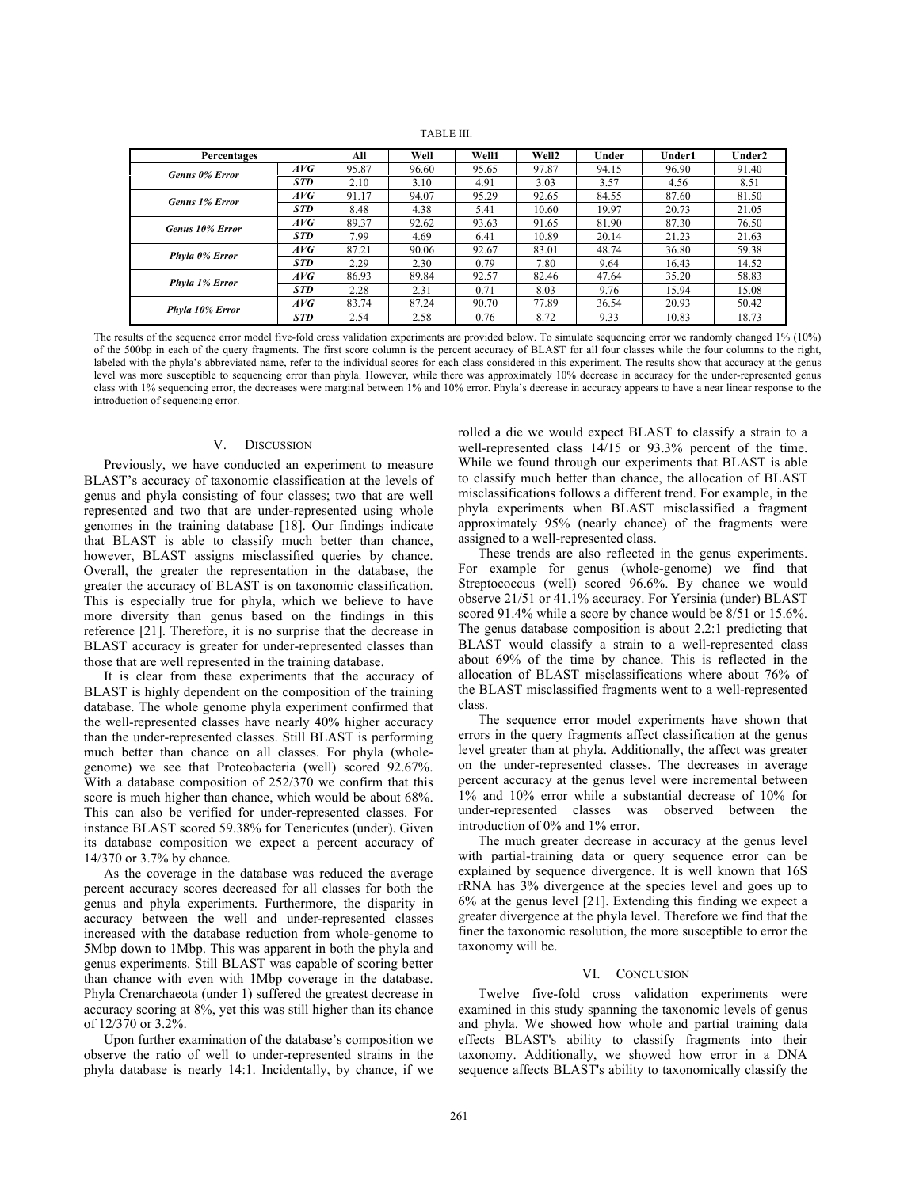| TABLE III. |  |  |
|------------|--|--|
|            |  |  |

| Percentages            |            | All   | Well  | Well1 | Well2 | Under | Under1 | Under2 |
|------------------------|------------|-------|-------|-------|-------|-------|--------|--------|
| <b>Genus 0% Error</b>  | AVG        | 95.87 | 96.60 | 95.65 | 97.87 | 94.15 | 96.90  | 91.40  |
|                        | <b>STD</b> | 2.10  | 3.10  | 4.91  | 3.03  | 3.57  | 4.56   | 8.51   |
| <b>Genus 1% Error</b>  | AVG        | 91.17 | 94.07 | 95.29 | 92.65 | 84.55 | 87.60  | 81.50  |
|                        | <b>STD</b> | 8.48  | 4.38  | 5.41  | 10.60 | 19.97 | 20.73  | 21.05  |
| <b>Genus 10% Error</b> | AVG        | 89.37 | 92.62 | 93.63 | 91.65 | 81.90 | 87.30  | 76.50  |
|                        | <b>STD</b> | 7.99  | 4.69  | 6.41  | 10.89 | 20.14 | 21.23  | 21.63  |
| Phyla 0% Error         | AVG        | 87.21 | 90.06 | 92.67 | 83.01 | 48.74 | 36.80  | 59.38  |
|                        | <b>STD</b> | 2.29  | 2.30  | 0.79  | 7.80  | 9.64  | 16.43  | 14.52  |
| Phyla 1% Error         | AVG        | 86.93 | 89.84 | 92.57 | 82.46 | 47.64 | 35.20  | 58.83  |
|                        | <b>STD</b> | 2.28  | 2.31  | 0.71  | 8.03  | 9.76  | 15.94  | 15.08  |
|                        | AVG        | 83.74 | 87.24 | 90.70 | 77.89 | 36.54 | 20.93  | 50.42  |
| Phyla 10% Error        | <b>STD</b> | 2.54  | 2.58  | 0.76  | 8.72  | 9.33  | 10.83  | 18.73  |

The results of the sequence error model five-fold cross validation experiments are provided below. To simulate sequencing error we randomly changed 1% (10%) of the 500bp in each of the query fragments. The first score column is the percent accuracy of BLAST for all four classes while the four columns to the right, labeled with the phyla's abbreviated name, refer to the individual scores for each class considered in this experiment. The results show that accuracy at the genus level was more susceptible to sequencing error than phyla. However, while there was approximately 10% decrease in accuracy for the under-represented genus class with 1% sequencing error, the decreases were marginal between 1% and 10% error. Phyla's decrease in accuracy appears to have a near linear response to the introduction of sequencing error.

## V. DISCUSSION

Previously, we have conducted an experiment to measure BLAST's accuracy of taxonomic classification at the levels of genus and phyla consisting of four classes; two that are well represented and two that are under-represented using whole genomes in the training database [18]. Our findings indicate that BLAST is able to classify much better than chance, however, BLAST assigns misclassified queries by chance. Overall, the greater the representation in the database, the greater the accuracy of BLAST is on taxonomic classification. This is especially true for phyla, which we believe to have more diversity than genus based on the findings in this reference [21]. Therefore, it is no surprise that the decrease in BLAST accuracy is greater for under-represented classes than those that are well represented in the training database.

It is clear from these experiments that the accuracy of BLAST is highly dependent on the composition of the training database. The whole genome phyla experiment confirmed that the well-represented classes have nearly 40% higher accuracy than the under-represented classes. Still BLAST is performing much better than chance on all classes. For phyla (wholegenome) we see that Proteobacteria (well) scored 92.67%. With a database composition of 252/370 we confirm that this score is much higher than chance, which would be about 68%. This can also be verified for under-represented classes. For instance BLAST scored 59.38% for Tenericutes (under). Given its database composition we expect a percent accuracy of 14/370 or 3.7% by chance.

As the coverage in the database was reduced the average percent accuracy scores decreased for all classes for both the genus and phyla experiments. Furthermore, the disparity in accuracy between the well and under-represented classes increased with the database reduction from whole-genome to 5Mbp down to 1Mbp. This was apparent in both the phyla and genus experiments. Still BLAST was capable of scoring better than chance with even with 1Mbp coverage in the database. Phyla Crenarchaeota (under 1) suffered the greatest decrease in accuracy scoring at 8%, yet this was still higher than its chance of 12/370 or 3.2%.

Upon further examination of the database's composition we observe the ratio of well to under-represented strains in the phyla database is nearly 14:1. Incidentally, by chance, if we rolled a die we would expect BLAST to classify a strain to a well-represented class 14/15 or 93.3% percent of the time. While we found through our experiments that BLAST is able to classify much better than chance, the allocation of BLAST misclassifications follows a different trend. For example, in the phyla experiments when BLAST misclassified a fragment approximately 95% (nearly chance) of the fragments were assigned to a well-represented class.

These trends are also reflected in the genus experiments. For example for genus (whole-genome) we find that Streptococcus (well) scored 96.6%. By chance we would observe 21/51 or 41.1% accuracy. For Yersinia (under) BLAST scored 91.4% while a score by chance would be  $8/51$  or  $15.6\%$ . The genus database composition is about 2.2:1 predicting that BLAST would classify a strain to a well-represented class about 69% of the time by chance. This is reflected in the allocation of BLAST misclassifications where about 76% of the BLAST misclassified fragments went to a well-represented class.

The sequence error model experiments have shown that errors in the query fragments affect classification at the genus level greater than at phyla. Additionally, the affect was greater on the under-represented classes. The decreases in average percent accuracy at the genus level were incremental between 1% and 10% error while a substantial decrease of 10% for under-represented classes was observed between the introduction of 0% and 1% error.

The much greater decrease in accuracy at the genus level with partial-training data or query sequence error can be explained by sequence divergence. It is well known that 16S rRNA has 3% divergence at the species level and goes up to 6% at the genus level [21]. Extending this finding we expect a greater divergence at the phyla level. Therefore we find that the finer the taxonomic resolution, the more susceptible to error the taxonomy will be.

## VI. CONCLUSION

Twelve five-fold cross validation experiments were examined in this study spanning the taxonomic levels of genus and phyla. We showed how whole and partial training data effects BLAST's ability to classify fragments into their taxonomy. Additionally, we showed how error in a DNA sequence affects BLAST's ability to taxonomically classify the